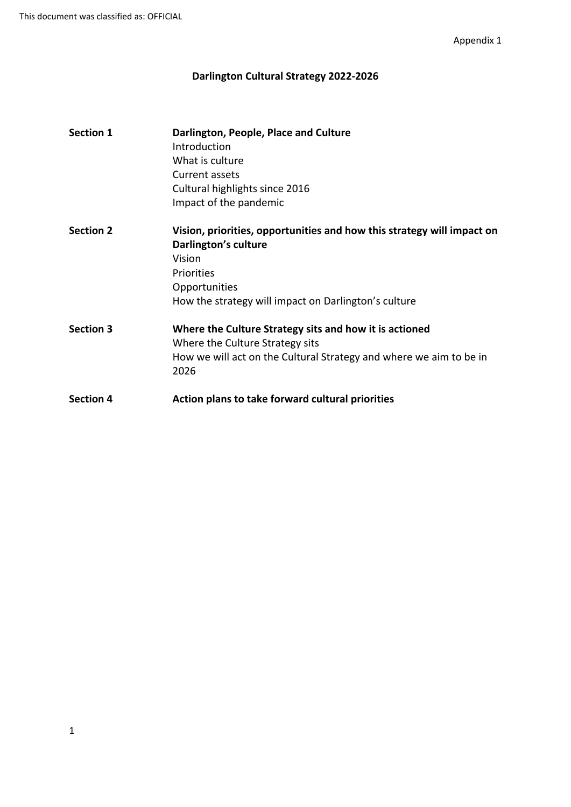# **Darlington Cultural Strategy 2022-2026**

| <b>Section 1</b> | Darlington, People, Place and Culture<br>Introduction                      |
|------------------|----------------------------------------------------------------------------|
|                  | What is culture                                                            |
|                  | Current assets                                                             |
|                  | Cultural highlights since 2016                                             |
|                  | Impact of the pandemic                                                     |
| <b>Section 2</b> | Vision, priorities, opportunities and how this strategy will impact on     |
|                  | Darlington's culture                                                       |
|                  | Vision                                                                     |
|                  | Priorities                                                                 |
|                  | Opportunities                                                              |
|                  | How the strategy will impact on Darlington's culture                       |
| <b>Section 3</b> | Where the Culture Strategy sits and how it is actioned                     |
|                  | Where the Culture Strategy sits                                            |
|                  | How we will act on the Cultural Strategy and where we aim to be in<br>2026 |
| <b>Section 4</b> | Action plans to take forward cultural priorities                           |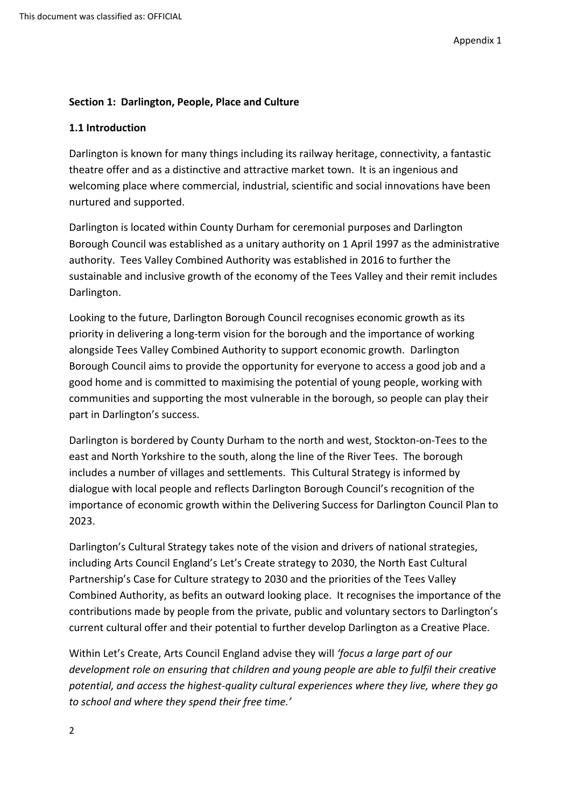## **Section 1: Darlington, People, Place and Culture**

### **1.1 Introduction**

Darlington is known for many things including its railway heritage, connectivity, a fantastic theatre offer and as a distinctive and attractive market town. It is an ingenious and welcoming place where commercial, industrial, scientific and social innovations have been nurtured and supported.

Darlington is located within County Durham for ceremonial purposes and Darlington Borough Council was established as a unitary authority on 1 April 1997 as the administrative authority. Tees Valley Combined Authority was established in 2016 to further the sustainable and inclusive growth of the economy of the Tees Valley and their remit includes Darlington.

Looking to the future, Darlington Borough Council recognises economic growth as its priority in delivering a long-term vision for the borough and the importance of working alongside Tees Valley Combined Authority to support economic growth. Darlington Borough Council aims to provide the opportunity for everyone to access a good job and a good home and is committed to maximising the potential of young people, working with communities and supporting the most vulnerable in the borough, so people can play their part in Darlington's success.

Darlington is bordered by County Durham to the north and west, Stockton-on-Tees to the east and North Yorkshire to the south, along the line of the River Tees. The borough includes a number of villages and settlements. This Cultural Strategy is informed by dialogue with local people and reflects Darlington Borough Council's recognition of the importance of economic growth within the Delivering Success for Darlington Council Plan to 2023.

Darlington's Cultural Strategy takes note of the vision and drivers of national strategies, including Arts Council England's Let's Create strategy to 2030, the North East Cultural Partnership's Case for Culture strategy to 2030 and the priorities of the Tees Valley Combined Authority, as befits an outward looking place. It recognises the importance of the contributions made by people from the private, public and voluntary sectors to Darlington's current cultural offer and their potential to further develop Darlington as a Creative Place.

Within Let's Create, Arts Council England advise they will *'focus a large part of our development role on ensuring that children and young people are able to fulfil their creative potential, and access the highest-quality cultural experiences where they live, where they go to school and where they spend their free time.'*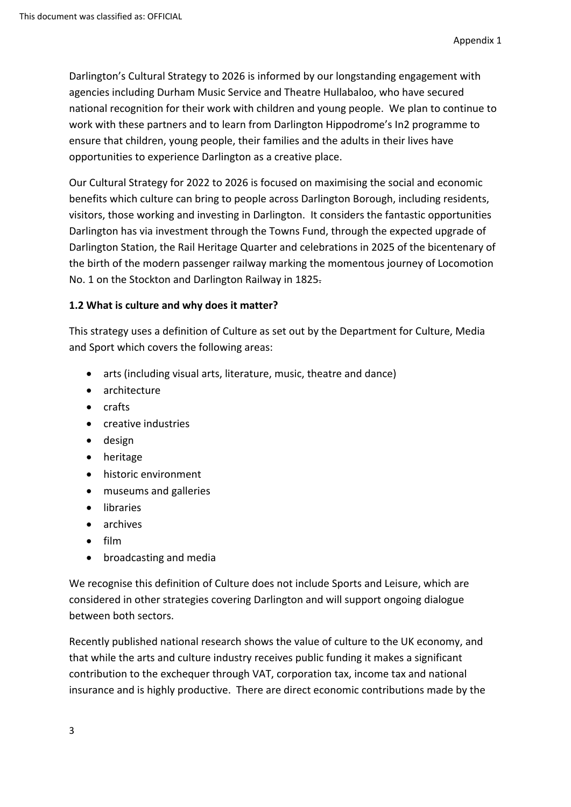Darlington's Cultural Strategy to 2026 is informed by our longstanding engagement with agencies including Durham Music Service and Theatre Hullabaloo, who have secured national recognition for their work with children and young people. We plan to continue to work with these partners and to learn from Darlington Hippodrome's In2 programme to ensure that children, young people, their families and the adults in their lives have opportunities to experience Darlington as a creative place.

Our Cultural Strategy for 2022 to 2026 is focused on maximising the social and economic benefits which culture can bring to people across Darlington Borough, including residents, visitors, those working and investing in Darlington. It considers the fantastic opportunities Darlington has via investment through the Towns Fund, through the expected upgrade of Darlington Station, the Rail Heritage Quarter and celebrations in 2025 of the bicentenary of the birth of the modern passenger railway marking the momentous journey of Locomotion No. 1 on the Stockton and Darlington Railway in 1825.

## **1.2 What is culture and why does it matter?**

This strategy uses a definition of Culture as set out by the Department for Culture, Media and Sport which covers the following areas:

- arts (including visual arts, literature, music, theatre and dance)
- architecture
- crafts
- creative industries
- design
- heritage
- historic environment
- museums and galleries
- **•** libraries
- archives
- $\bullet$  film
- broadcasting and media

We recognise this definition of Culture does not include Sports and Leisure, which are considered in other strategies covering Darlington and will support ongoing dialogue between both sectors.

Recently published national research shows the value of culture to the UK economy, and that while the arts and culture industry receives public funding it makes a significant contribution to the exchequer through VAT, corporation tax, income tax and national insurance and is highly productive. There are direct economic contributions made by the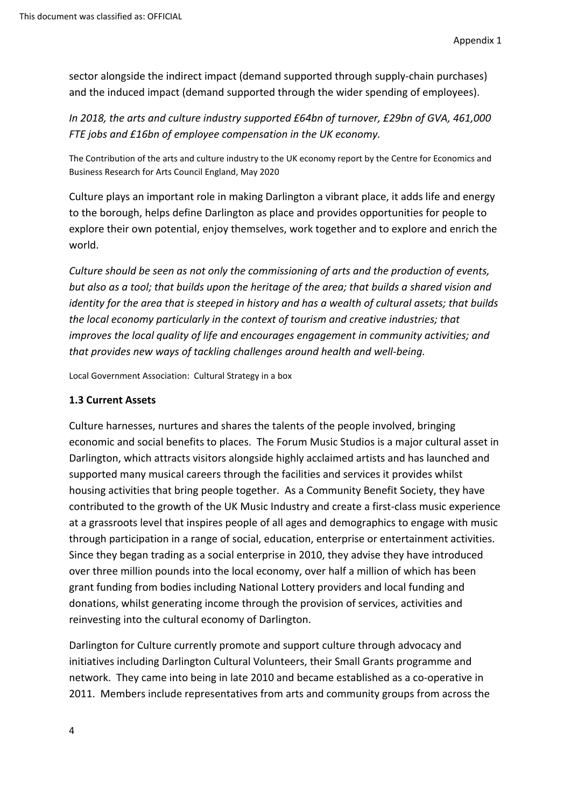sector alongside the indirect impact (demand supported through supply-chain purchases) and the induced impact (demand supported through the wider spending of employees).

*In 2018, the arts and culture industry supported £64bn of turnover, £29bn of GVA, 461,000 FTE jobs and £16bn of employee compensation in the UK economy.*

The Contribution of the arts and culture industry to the UK economy report by the Centre for Economics and Business Research for Arts Council England, May 2020

Culture plays an important role in making Darlington a vibrant place, it adds life and energy to the borough, helps define Darlington as place and provides opportunities for people to explore their own potential, enjoy themselves, work together and to explore and enrich the world.

*Culture should be seen as not only the commissioning of arts and the production of events,* but also as a tool; that builds upon the heritage of the area; that builds a shared vision and *identity for the area that is steeped in history and has a wealth of cultural assets; that builds the local economy particularly in the context of tourism and creative industries; that improves the local quality of life and encourages engagement in community activities; and that provides new ways of tackling challenges around health and well-being.*

Local Government Association: Cultural Strategy in a box

### **1.3 Current Assets**

Culture harnesses, nurtures and shares the talents of the people involved, bringing economic and social benefits to places. The Forum Music Studios is a major cultural asset in Darlington, which attracts visitors alongside highly acclaimed artists and has launched and supported many musical careers through the facilities and services it provides whilst housing activities that bring people together. As a Community Benefit Society, they have contributed to the growth of the UK Music Industry and create a first-class music experience at a grassroots level that inspires people of all ages and demographics to engage with music through participation in a range of social, education, enterprise or entertainment activities. Since they began trading as a social enterprise in 2010, they advise they have introduced over three million pounds into the local economy, over half a million of which has been grant funding from bodies including National Lottery providers and local funding and donations, whilst generating income through the provision of services, activities and reinvesting into the cultural economy of Darlington.

Darlington for Culture currently promote and support culture through advocacy and initiatives including Darlington Cultural Volunteers, their Small Grants programme and network. They came into being in late 2010 and became established as a co-operative in 2011. Members include representatives from arts and community groups from across the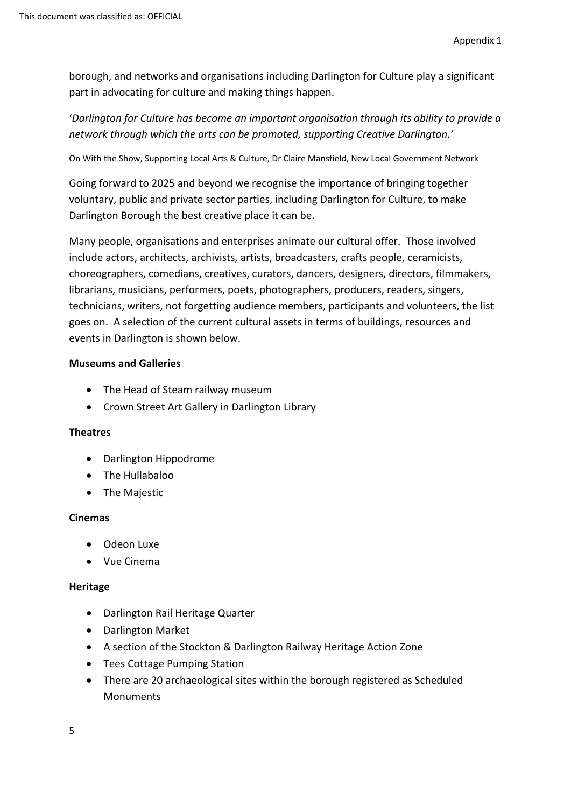borough, and networks and organisations including Darlington for Culture play a significant part in advocating for culture and making things happen.

'*Darlington for Culture has become an important organisation through its ability to provide a network through which the arts can be promoted, supporting Creative Darlington.'*

On With the Show, Supporting Local Arts & Culture, Dr Claire Mansfield, New Local Government Network

Going forward to 2025 and beyond we recognise the importance of bringing together voluntary, public and private sector parties, including Darlington for Culture, to make Darlington Borough the best creative place it can be.

Many people, organisations and enterprises animate our cultural offer. Those involved include actors, architects, archivists, artists, broadcasters, crafts people, ceramicists, choreographers, comedians, creatives, curators, dancers, designers, directors, filmmakers, librarians, musicians, performers, poets, photographers, producers, readers, singers, technicians, writers, not forgetting audience members, participants and volunteers, the list goes on. A selection of the current cultural assets in terms of buildings, resources and events in Darlington is shown below.

#### **Museums and Galleries**

- The Head of Steam railway museum
- Crown Street Art Gallery in Darlington Library

#### **Theatres**

- Darlington Hippodrome
- The Hullabaloo
- The Majestic

#### **Cinemas**

- Odeon Luxe
- Vue Cinema

#### **Heritage**

- Darlington Rail Heritage Quarter
- Darlington Market
- A section of the Stockton & Darlington Railway Heritage Action Zone
- Tees Cottage Pumping Station
- There are 20 archaeological sites within the borough registered as Scheduled Monuments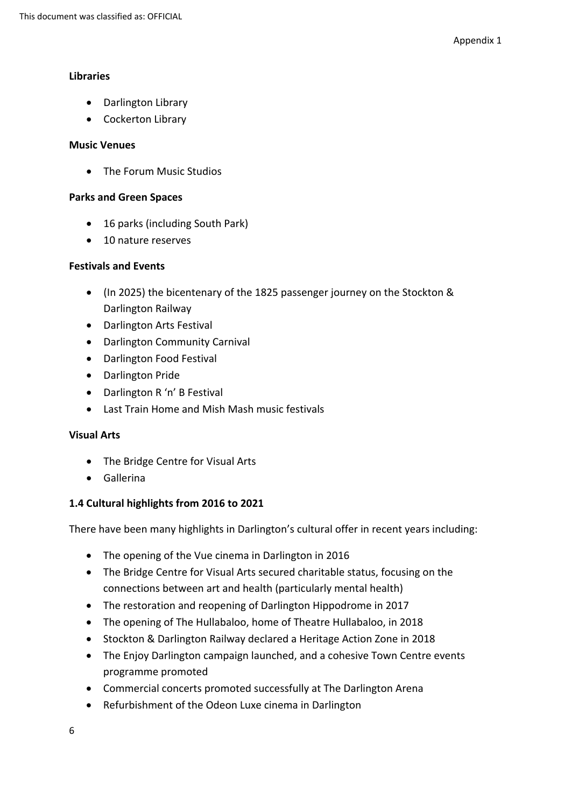#### **Libraries**

- Darlington Library
- Cockerton Library

#### **Music Venues**

• The Forum Music Studios

#### **Parks and Green Spaces**

- 16 parks (including South Park)
- 10 nature reserves

## **Festivals and Events**

- (In 2025) the bicentenary of the 1825 passenger journey on the Stockton & Darlington Railway
- Darlington Arts Festival
- Darlington Community Carnival
- Darlington Food Festival
- Darlington Pride
- Darlington R 'n' B Festival
- Last Train Home and Mish Mash music festivals

#### **Visual Arts**

- The Bridge Centre for Visual Arts
- Gallerina

## **1.4 Cultural highlights from 2016 to 2021**

There have been many highlights in Darlington's cultural offer in recent years including:

- The opening of the Vue cinema in Darlington in 2016
- The Bridge Centre for Visual Arts secured charitable status, focusing on the connections between art and health (particularly mental health)
- The restoration and reopening of Darlington Hippodrome in 2017
- The opening of The Hullabaloo, home of Theatre Hullabaloo, in 2018
- Stockton & Darlington Railway declared a Heritage Action Zone in 2018
- The Enjoy Darlington campaign launched, and a cohesive Town Centre events programme promoted
- Commercial concerts promoted successfully at The Darlington Arena
- Refurbishment of the Odeon Luxe cinema in Darlington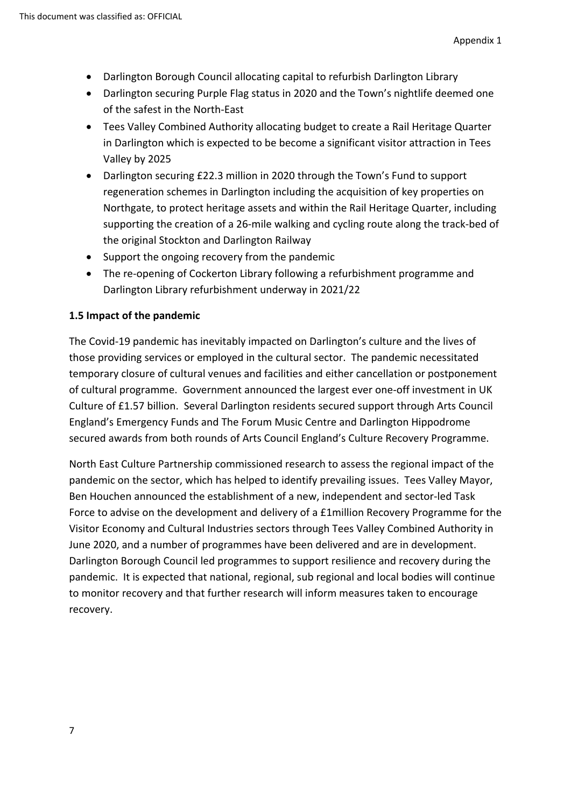- Darlington Borough Council allocating capital to refurbish Darlington Library
- Darlington securing Purple Flag status in 2020 and the Town's nightlife deemed one of the safest in the North-East
- Tees Valley Combined Authority allocating budget to create a Rail Heritage Quarter in Darlington which is expected to be become a significant visitor attraction in Tees Valley by 2025
- Darlington securing £22.3 million in 2020 through the Town's Fund to support regeneration schemes in Darlington including the acquisition of key properties on Northgate, to protect heritage assets and within the Rail Heritage Quarter, including supporting the creation of a 26-mile walking and cycling route along the track-bed of the original Stockton and Darlington Railway
- Support the ongoing recovery from the pandemic
- The re-opening of Cockerton Library following a refurbishment programme and Darlington Library refurbishment underway in 2021/22

## **1.5 Impact of the pandemic**

The Covid-19 pandemic has inevitably impacted on Darlington's culture and the lives of those providing services or employed in the cultural sector. The pandemic necessitated temporary closure of cultural venues and facilities and either cancellation or postponement of cultural programme. Government announced the largest ever one-off investment in UK Culture of £1.57 billion. Several Darlington residents secured support through Arts Council England's Emergency Funds and The Forum Music Centre and Darlington Hippodrome secured awards from both rounds of Arts Council England's Culture Recovery Programme.

North East Culture Partnership commissioned research to assess the regional impact of the pandemic on the sector, which has helped to identify prevailing issues. Tees Valley Mayor, Ben Houchen announced the establishment of a new, independent and sector-led Task Force to advise on the development and delivery of a £1million Recovery Programme for the Visitor Economy and Cultural Industries sectors through Tees Valley Combined Authority in June 2020, and a number of programmes have been delivered and are in development. Darlington Borough Council led programmes to support resilience and recovery during the pandemic. It is expected that national, regional, sub regional and local bodies will continue to monitor recovery and that further research will inform measures taken to encourage recovery.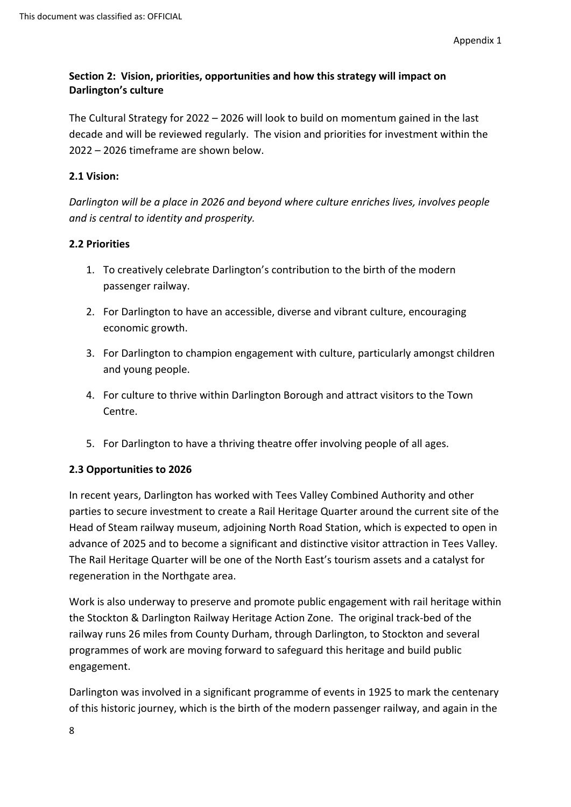# **Section 2: Vision, priorities, opportunities and how this strategy will impact on Darlington's culture**

The Cultural Strategy for 2022 – 2026 will look to build on momentum gained in the last decade and will be reviewed regularly. The vision and priorities for investment within the 2022 – 2026 timeframe are shown below.

## **2.1 Vision:**

*Darlington will be a place in 2026 and beyond where culture enriches lives, involves people and is central to identity and prosperity.*

## **2.2 Priorities**

- 1. To creatively celebrate Darlington's contribution to the birth of the modern passenger railway.
- 2. For Darlington to have an accessible, diverse and vibrant culture, encouraging economic growth.
- 3. For Darlington to champion engagement with culture, particularly amongst children and young people.
- 4. For culture to thrive within Darlington Borough and attract visitors to the Town Centre.
- 5. For Darlington to have a thriving theatre offer involving people of all ages.

# **2.3 Opportunities to 2026**

In recent years, Darlington has worked with Tees Valley Combined Authority and other parties to secure investment to create a Rail Heritage Quarter around the current site of the Head of Steam railway museum, adjoining North Road Station, which is expected to open in advance of 2025 and to become a significant and distinctive visitor attraction in Tees Valley. The Rail Heritage Quarter will be one of the North East's tourism assets and a catalyst for regeneration in the Northgate area.

Work is also underway to preserve and promote public engagement with rail heritage within the Stockton & Darlington Railway Heritage Action Zone. The original track-bed of the railway runs 26 miles from County Durham, through Darlington, to Stockton and several programmes of work are moving forward to safeguard this heritage and build public engagement.

Darlington was involved in a significant programme of events in 1925 to mark the centenary of this historic journey, which is the birth of the modern passenger railway, and again in the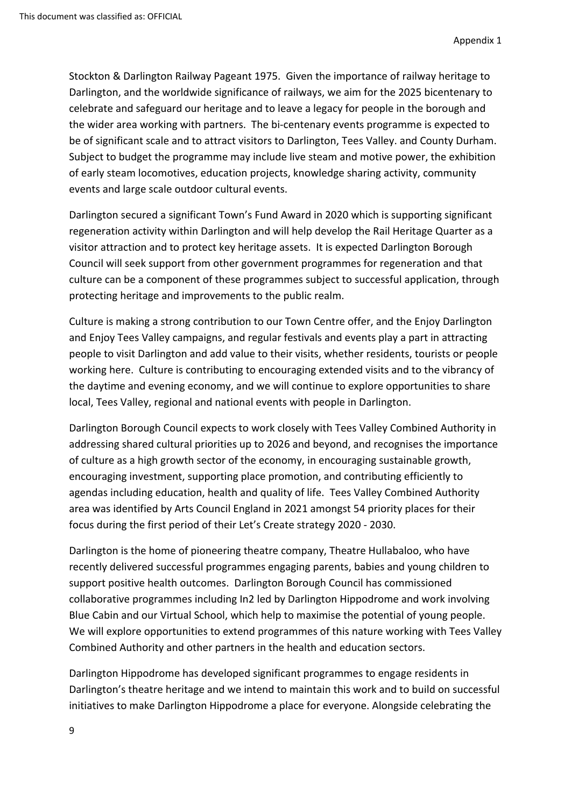Stockton & Darlington Railway Pageant 1975. Given the importance of railway heritage to Darlington, and the worldwide significance of railways, we aim for the 2025 bicentenary to celebrate and safeguard our heritage and to leave a legacy for people in the borough and the wider area working with partners. The bi-centenary events programme is expected to be of significant scale and to attract visitors to Darlington, Tees Valley. and County Durham. Subject to budget the programme may include live steam and motive power, the exhibition of early steam locomotives, education projects, knowledge sharing activity, community events and large scale outdoor cultural events.

Darlington secured a significant Town's Fund Award in 2020 which is supporting significant regeneration activity within Darlington and will help develop the Rail Heritage Quarter as a visitor attraction and to protect key heritage assets. It is expected Darlington Borough Council will seek support from other government programmes for regeneration and that culture can be a component of these programmes subject to successful application, through protecting heritage and improvements to the public realm.

Culture is making a strong contribution to our Town Centre offer, and the Enjoy Darlington and Enjoy Tees Valley campaigns, and regular festivals and events play a part in attracting people to visit Darlington and add value to their visits, whether residents, tourists or people working here. Culture is contributing to encouraging extended visits and to the vibrancy of the daytime and evening economy, and we will continue to explore opportunities to share local, Tees Valley, regional and national events with people in Darlington.

Darlington Borough Council expects to work closely with Tees Valley Combined Authority in addressing shared cultural priorities up to 2026 and beyond, and recognises the importance of culture as a high growth sector of the economy, in encouraging sustainable growth, encouraging investment, supporting place promotion, and contributing efficiently to agendas including education, health and quality of life. Tees Valley Combined Authority area was identified by Arts Council England in 2021 amongst 54 priority places for their focus during the first period of their Let's Create strategy 2020 - 2030.

Darlington is the home of pioneering theatre company, Theatre Hullabaloo, who have recently delivered successful programmes engaging parents, babies and young children to support positive health outcomes. Darlington Borough Council has commissioned collaborative programmes including In2 led by Darlington Hippodrome and work involving Blue Cabin and our Virtual School, which help to maximise the potential of young people. We will explore opportunities to extend programmes of this nature working with Tees Valley Combined Authority and other partners in the health and education sectors.

Darlington Hippodrome has developed significant programmes to engage residents in Darlington's theatre heritage and we intend to maintain this work and to build on successful initiatives to make Darlington Hippodrome a place for everyone. Alongside celebrating the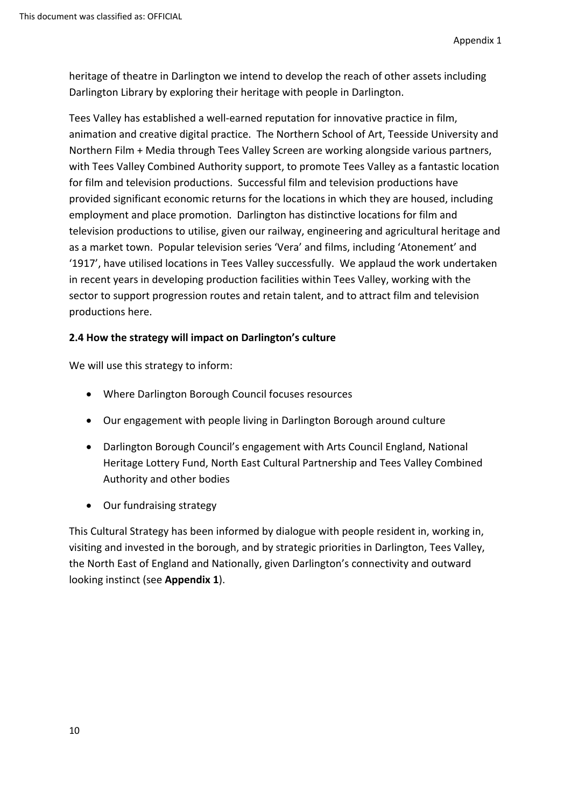heritage of theatre in Darlington we intend to develop the reach of other assets including Darlington Library by exploring their heritage with people in Darlington.

Tees Valley has established a well-earned reputation for innovative practice in film, animation and creative digital practice. The Northern School of Art, Teesside University and Northern Film + Media through Tees Valley Screen are working alongside various partners, with Tees Valley Combined Authority support, to promote Tees Valley as a fantastic location for film and television productions. Successful film and television productions have provided significant economic returns for the locations in which they are housed, including employment and place promotion. Darlington has distinctive locations for film and television productions to utilise, given our railway, engineering and agricultural heritage and as a market town. Popular television series 'Vera' and films, including 'Atonement' and '1917', have utilised locations in Tees Valley successfully. We applaud the work undertaken in recent years in developing production facilities within Tees Valley, working with the sector to support progression routes and retain talent, and to attract film and television productions here.

## **2.4 How the strategy will impact on Darlington's culture**

We will use this strategy to inform:

- Where Darlington Borough Council focuses resources
- Our engagement with people living in Darlington Borough around culture
- Darlington Borough Council's engagement with Arts Council England, National Heritage Lottery Fund, North East Cultural Partnership and Tees Valley Combined Authority and other bodies
- Our fundraising strategy

This Cultural Strategy has been informed by dialogue with people resident in, working in, visiting and invested in the borough, and by strategic priorities in Darlington, Tees Valley, the North East of England and Nationally, given Darlington's connectivity and outward looking instinct (see **Appendix 1**).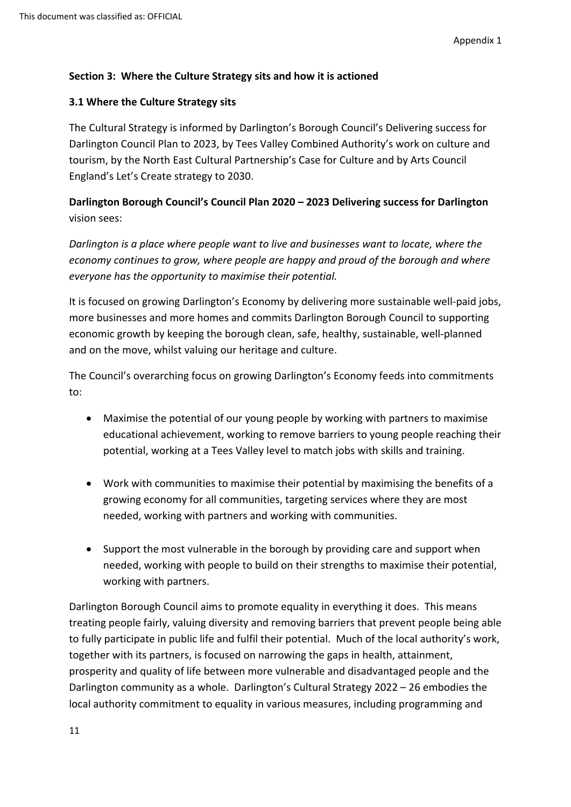## **Section 3: Where the Culture Strategy sits and how it is actioned**

## **3.1 Where the Culture Strategy sits**

The Cultural Strategy is informed by Darlington's Borough Council's Delivering success for Darlington Council Plan to 2023, by Tees Valley Combined Authority's work on culture and tourism, by the North East Cultural Partnership's Case for Culture and by Arts Council England's Let's Create strategy to 2030.

# **Darlington Borough Council's Council Plan 2020 – 2023 Delivering success for Darlington** vision sees:

*Darlington is a place where people want to live and businesses want to locate, where the economy continues to grow, where people are happy and proud of the borough and where everyone has the opportunity to maximise their potential.*

It is focused on growing Darlington's Economy by delivering more sustainable well-paid jobs, more businesses and more homes and commits Darlington Borough Council to supporting economic growth by keeping the borough clean, safe, healthy, sustainable, well-planned and on the move, whilst valuing our heritage and culture.

The Council's overarching focus on growing Darlington's Economy feeds into commitments to:

- Maximise the potential of our young people by working with partners to maximise educational achievement, working to remove barriers to young people reaching their potential, working at a Tees Valley level to match jobs with skills and training.
- Work with communities to maximise their potential by maximising the benefits of a growing economy for all communities, targeting services where they are most needed, working with partners and working with communities.
- Support the most vulnerable in the borough by providing care and support when needed, working with people to build on their strengths to maximise their potential, working with partners.

Darlington Borough Council aims to promote equality in everything it does. This means treating people fairly, valuing diversity and removing barriers that prevent people being able to fully participate in public life and fulfil their potential. Much of the local authority's work, together with its partners, is focused on narrowing the gaps in health, attainment, prosperity and quality of life between more vulnerable and disadvantaged people and the Darlington community as a whole. Darlington's Cultural Strategy 2022 – 26 embodies the local authority commitment to equality in various measures, including programming and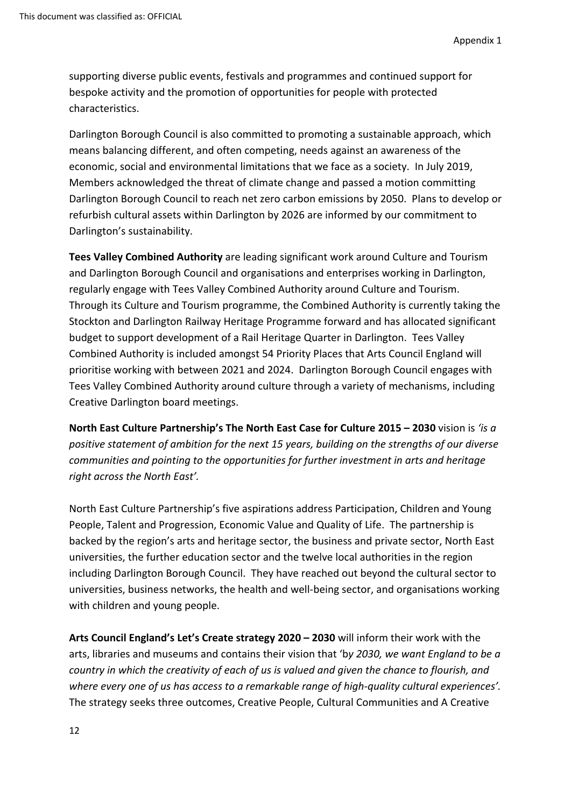supporting diverse public events, festivals and programmes and continued support for bespoke activity and the promotion of opportunities for people with protected characteristics.

Darlington Borough Council is also committed to promoting a sustainable approach, which means balancing different, and often competing, needs against an awareness of the economic, social and environmental limitations that we face as a society. In July 2019, Members acknowledged the threat of climate change and passed a motion committing Darlington Borough Council to reach net zero carbon emissions by 2050. Plans to develop or refurbish cultural assets within Darlington by 2026 are informed by our commitment to Darlington's sustainability.

**Tees Valley Combined Authority** are leading significant work around Culture and Tourism and Darlington Borough Council and organisations and enterprises working in Darlington, regularly engage with Tees Valley Combined Authority around Culture and Tourism. Through its Culture and Tourism programme, the Combined Authority is currently taking the Stockton and Darlington Railway Heritage Programme forward and has allocated significant budget to support development of a Rail Heritage Quarter in Darlington. Tees Valley Combined Authority is included amongst 54 Priority Places that Arts Council England will prioritise working with between 2021 and 2024. Darlington Borough Council engages with Tees Valley Combined Authority around culture through a variety of mechanisms, including Creative Darlington board meetings.

**North East Culture Partnership's The North East Case for Culture 2015 – 2030** vision is *'is a positive statement of ambition for the next 15 years, building on the strengths of our diverse communities and pointing to the opportunities for further investment in arts and heritage right across the North East'.*

North East Culture Partnership's five aspirations address Participation, Children and Young People, Talent and Progression, Economic Value and Quality of Life. The partnership is backed by the region's arts and heritage sector, the business and private sector, North East universities, the further education sector and the twelve local authorities in the region including Darlington Borough Council. They have reached out beyond the cultural sector to universities, business networks, the health and well-being sector, and organisations working with children and young people.

**Arts Council England's Let's Create strategy 2020 – 2030** will inform their work with the arts, libraries and museums and contains their vision that 'b*y 2030, we want England to be a country in which the creativity of each of us is valued and given the chance to flourish, and where every one of us has access to a remarkable range of high-quality cultural experiences'.*  The strategy seeks three outcomes, Creative People, Cultural Communities and A Creative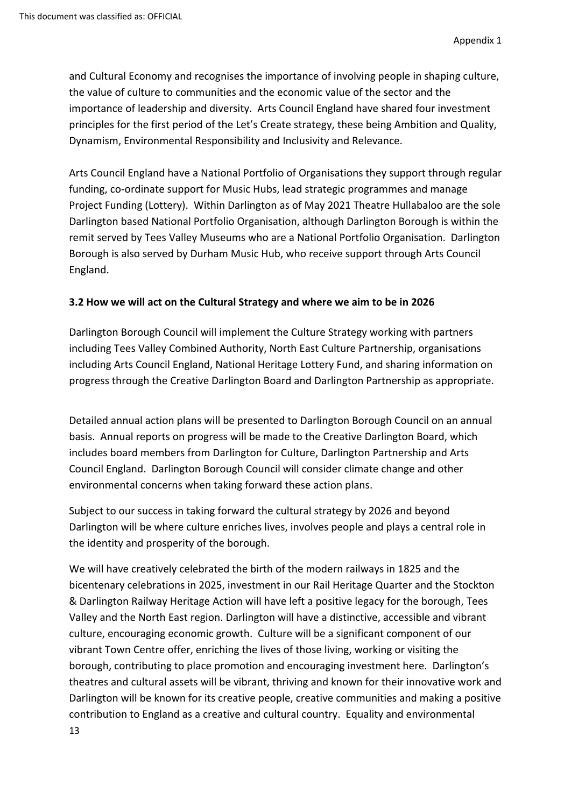and Cultural Economy and recognises the importance of involving people in shaping culture, the value of culture to communities and the economic value of the sector and the importance of leadership and diversity. Arts Council England have shared four investment principles for the first period of the Let's Create strategy, these being Ambition and Quality, Dynamism, Environmental Responsibility and Inclusivity and Relevance.

Arts Council England have a National Portfolio of Organisations they support through regular funding, co-ordinate support for Music Hubs, lead strategic programmes and manage Project Funding (Lottery). Within Darlington as of May 2021 Theatre Hullabaloo are the sole Darlington based National Portfolio Organisation, although Darlington Borough is within the remit served by Tees Valley Museums who are a National Portfolio Organisation. Darlington Borough is also served by Durham Music Hub, who receive support through Arts Council England.

## **3.2 How we will act on the Cultural Strategy and where we aim to be in 2026**

Darlington Borough Council will implement the Culture Strategy working with partners including Tees Valley Combined Authority, North East Culture Partnership, organisations including Arts Council England, National Heritage Lottery Fund, and sharing information on progress through the Creative Darlington Board and Darlington Partnership as appropriate.

Detailed annual action plans will be presented to Darlington Borough Council on an annual basis. Annual reports on progress will be made to the Creative Darlington Board, which includes board members from Darlington for Culture, Darlington Partnership and Arts Council England. Darlington Borough Council will consider climate change and other environmental concerns when taking forward these action plans.

Subject to our success in taking forward the cultural strategy by 2026 and beyond Darlington will be where culture enriches lives, involves people and plays a central role in the identity and prosperity of the borough.

We will have creatively celebrated the birth of the modern railways in 1825 and the bicentenary celebrations in 2025, investment in our Rail Heritage Quarter and the Stockton & Darlington Railway Heritage Action will have left a positive legacy for the borough, Tees Valley and the North East region. Darlington will have a distinctive, accessible and vibrant culture, encouraging economic growth. Culture will be a significant component of our vibrant Town Centre offer, enriching the lives of those living, working or visiting the borough, contributing to place promotion and encouraging investment here. Darlington's theatres and cultural assets will be vibrant, thriving and known for their innovative work and Darlington will be known for its creative people, creative communities and making a positive contribution to England as a creative and cultural country. Equality and environmental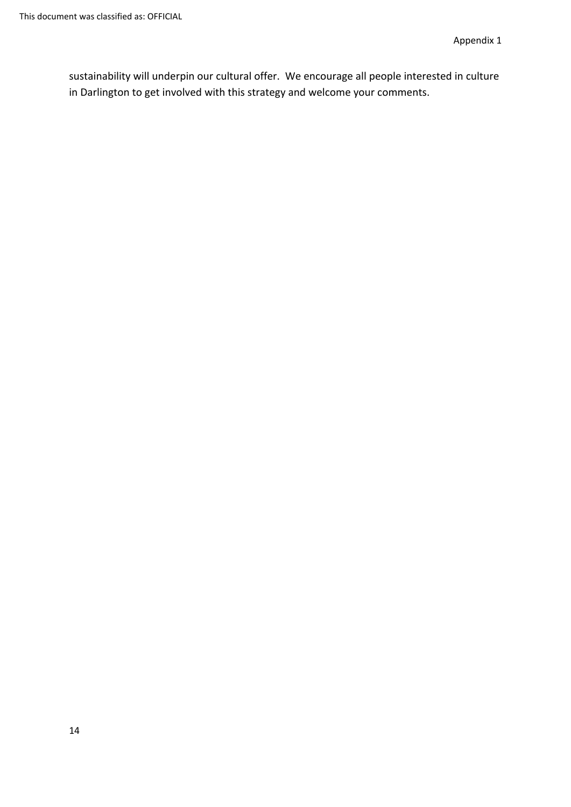sustainability will underpin our cultural offer. We encourage all people interested in culture in Darlington to get involved with this strategy and welcome your comments.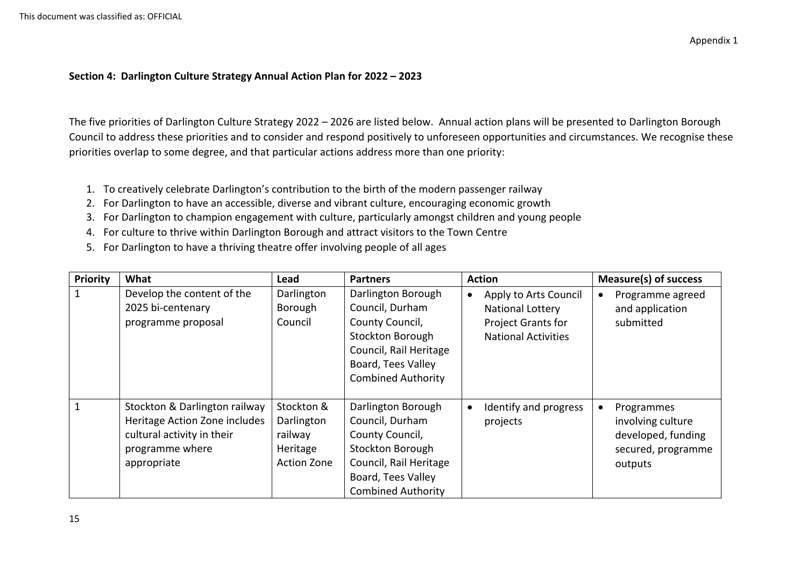#### **Section 4: Darlington Culture Strategy Annual Action Plan for 2022 – 2023**

The five priorities of Darlington Culture Strategy 2022 – 2026 are listed below. Annual action plans will be presented to Darlington Borough Council to address these priorities and to consider and respond positively to unforeseen opportunities and circumstances. We recognise these priorities overlap to some degree, and that particular actions address more than one priority:

- 1. To creatively celebrate Darlington's contribution to the birth of the modern passenger railway
- 2. For Darlington to have an accessible, diverse and vibrant culture, encouraging economic growth
- 3. For Darlington to champion engagement with culture, particularly amongst children and young people
- 4. For culture to thrive within Darlington Borough and attract visitors to the Town Centre
- 5. For Darlington to have a thriving theatre offer involving people of all ages

| <b>Priority</b> | What                                                                                                                           | Lead                                                                  | <b>Partners</b>                                                                                                                                           | <b>Action</b>                                                                                                     | <b>Measure(s) of success</b>                                                           |
|-----------------|--------------------------------------------------------------------------------------------------------------------------------|-----------------------------------------------------------------------|-----------------------------------------------------------------------------------------------------------------------------------------------------------|-------------------------------------------------------------------------------------------------------------------|----------------------------------------------------------------------------------------|
|                 | Develop the content of the<br>2025 bi-centenary<br>programme proposal                                                          | Darlington<br>Borough<br>Council                                      | Darlington Borough<br>Council, Durham<br>County Council,<br>Stockton Borough<br>Council, Rail Heritage<br>Board, Tees Valley<br><b>Combined Authority</b> | Apply to Arts Council<br>$\bullet$<br><b>National Lottery</b><br>Project Grants for<br><b>National Activities</b> | Programme agreed<br>and application<br>submitted                                       |
|                 | Stockton & Darlington railway<br>Heritage Action Zone includes<br>cultural activity in their<br>programme where<br>appropriate | Stockton &<br>Darlington<br>railway<br>Heritage<br><b>Action Zone</b> | Darlington Borough<br>Council, Durham<br>County Council,<br>Stockton Borough<br>Council, Rail Heritage<br>Board, Tees Valley<br><b>Combined Authority</b> | Identify and progress<br>projects                                                                                 | Programmes<br>involving culture<br>developed, funding<br>secured, programme<br>outputs |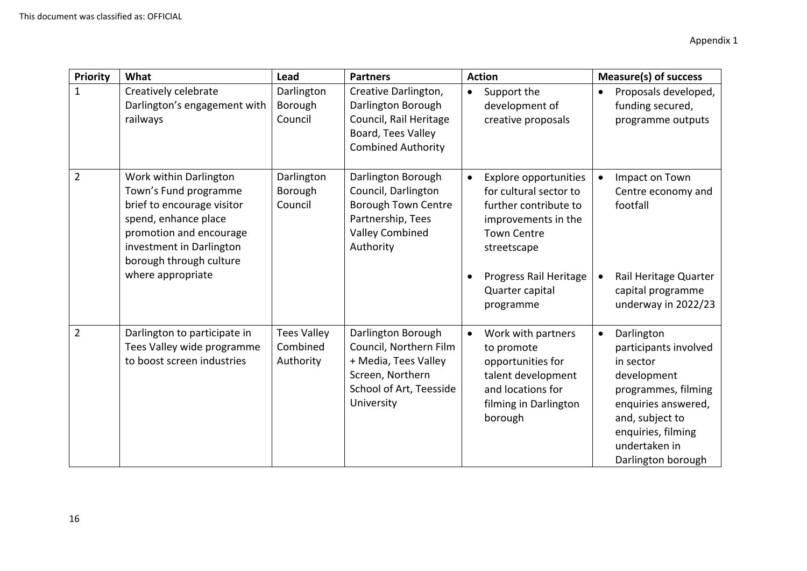| <b>Priority</b> | What                                                                                                                                                                                    | Lead                                        | <b>Partners</b>                                                                                                                     | <b>Action</b>                                                                                                                                            | <b>Measure(s) of success</b>                                                                                                                                                                               |
|-----------------|-----------------------------------------------------------------------------------------------------------------------------------------------------------------------------------------|---------------------------------------------|-------------------------------------------------------------------------------------------------------------------------------------|----------------------------------------------------------------------------------------------------------------------------------------------------------|------------------------------------------------------------------------------------------------------------------------------------------------------------------------------------------------------------|
| $\mathbf{1}$    | Creatively celebrate<br>Darlington's engagement with<br>railways                                                                                                                        | Darlington<br>Borough<br>Council            | Creative Darlington,<br>Darlington Borough<br>Council, Rail Heritage<br>Board, Tees Valley<br><b>Combined Authority</b>             | Support the<br>$\bullet$<br>development of<br>creative proposals                                                                                         | Proposals developed,<br>funding secured,<br>programme outputs                                                                                                                                              |
| $\overline{2}$  | Work within Darlington<br>Town's Fund programme<br>brief to encourage visitor<br>spend, enhance place<br>promotion and encourage<br>investment in Darlington<br>borough through culture | Darlington<br>Borough<br>Council            | Darlington Borough<br>Council, Darlington<br><b>Borough Town Centre</b><br>Partnership, Tees<br><b>Valley Combined</b><br>Authority | <b>Explore opportunities</b><br>$\bullet$<br>for cultural sector to<br>further contribute to<br>improvements in the<br><b>Town Centre</b><br>streetscape | Impact on Town<br>Centre economy and<br>footfall                                                                                                                                                           |
|                 | where appropriate                                                                                                                                                                       |                                             |                                                                                                                                     | Progress Rail Heritage<br>Quarter capital<br>programme                                                                                                   | Rail Heritage Quarter<br>capital programme<br>underway in 2022/23                                                                                                                                          |
| $\overline{2}$  | Darlington to participate in<br>Tees Valley wide programme<br>to boost screen industries                                                                                                | <b>Tees Valley</b><br>Combined<br>Authority | Darlington Borough<br>Council, Northern Film<br>+ Media, Tees Valley<br>Screen, Northern<br>School of Art, Teesside<br>University   | Work with partners<br>$\bullet$<br>to promote<br>opportunities for<br>talent development<br>and locations for<br>filming in Darlington<br>borough        | Darlington<br>$\bullet$<br>participants involved<br>in sector<br>development<br>programmes, filming<br>enquiries answered,<br>and, subject to<br>enquiries, filming<br>undertaken in<br>Darlington borough |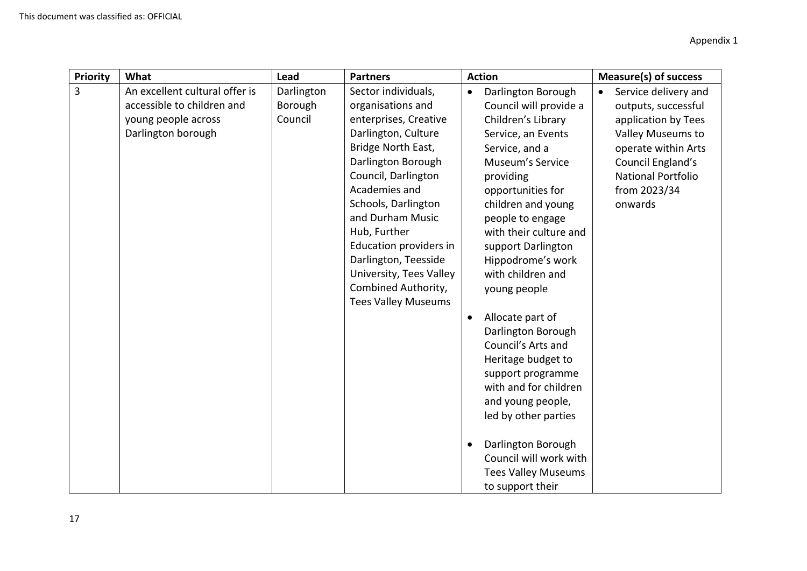| Priority | What                                                                                                      | Lead                             | <b>Partners</b>                                                                                                                                                                                                                                                                                                                                                           | <b>Action</b>                                                                                                                                                                                                                                                                                                                                                                                                                                                                                                                                                                                                                                  | <b>Measure(s) of success</b>                                                                                                                                                                             |
|----------|-----------------------------------------------------------------------------------------------------------|----------------------------------|---------------------------------------------------------------------------------------------------------------------------------------------------------------------------------------------------------------------------------------------------------------------------------------------------------------------------------------------------------------------------|------------------------------------------------------------------------------------------------------------------------------------------------------------------------------------------------------------------------------------------------------------------------------------------------------------------------------------------------------------------------------------------------------------------------------------------------------------------------------------------------------------------------------------------------------------------------------------------------------------------------------------------------|----------------------------------------------------------------------------------------------------------------------------------------------------------------------------------------------------------|
| 3        | An excellent cultural offer is<br>accessible to children and<br>young people across<br>Darlington borough | Darlington<br>Borough<br>Council | Sector individuals,<br>organisations and<br>enterprises, Creative<br>Darlington, Culture<br>Bridge North East,<br>Darlington Borough<br>Council, Darlington<br>Academies and<br>Schools, Darlington<br>and Durham Music<br>Hub, Further<br>Education providers in<br>Darlington, Teesside<br>University, Tees Valley<br>Combined Authority,<br><b>Tees Valley Museums</b> | Darlington Borough<br>$\bullet$<br>Council will provide a<br>Children's Library<br>Service, an Events<br>Service, and a<br>Museum's Service<br>providing<br>opportunities for<br>children and young<br>people to engage<br>with their culture and<br>support Darlington<br>Hippodrome's work<br>with children and<br>young people<br>Allocate part of<br>$\bullet$<br>Darlington Borough<br>Council's Arts and<br>Heritage budget to<br>support programme<br>with and for children<br>and young people,<br>led by other parties<br>Darlington Borough<br>$\bullet$<br>Council will work with<br><b>Tees Valley Museums</b><br>to support their | Service delivery and<br>$\bullet$<br>outputs, successful<br>application by Tees<br>Valley Museums to<br>operate within Arts<br>Council England's<br><b>National Portfolio</b><br>from 2023/34<br>onwards |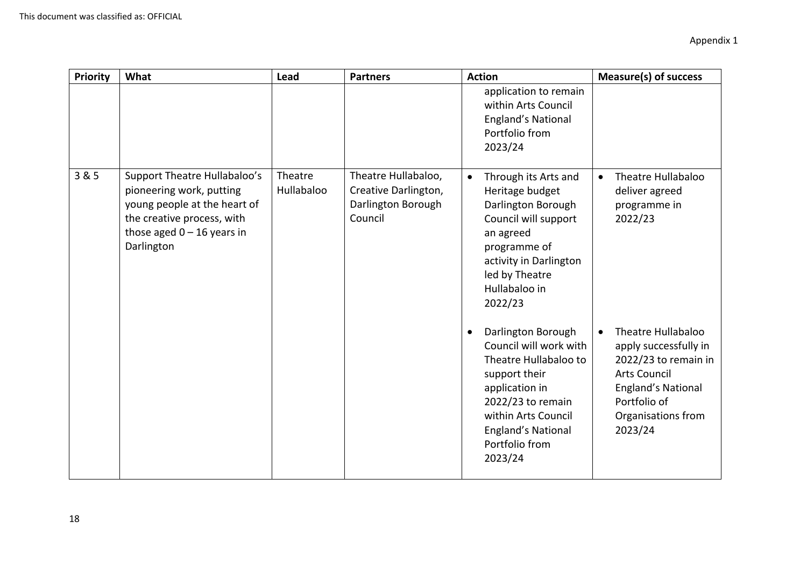| Priority | What                                                                                                                                                                 | Lead                  | <b>Partners</b>                                                              | <b>Action</b>                                                                                                                                                                                                               | <b>Measure(s) of success</b>                                                                                                                                             |
|----------|----------------------------------------------------------------------------------------------------------------------------------------------------------------------|-----------------------|------------------------------------------------------------------------------|-----------------------------------------------------------------------------------------------------------------------------------------------------------------------------------------------------------------------------|--------------------------------------------------------------------------------------------------------------------------------------------------------------------------|
|          |                                                                                                                                                                      |                       |                                                                              | application to remain<br>within Arts Council<br><b>England's National</b><br>Portfolio from<br>2023/24                                                                                                                      |                                                                                                                                                                          |
| 3 & 5    | Support Theatre Hullabaloo's<br>pioneering work, putting<br>young people at the heart of<br>the creative process, with<br>those aged $0 - 16$ years in<br>Darlington | Theatre<br>Hullabaloo | Theatre Hullabaloo,<br>Creative Darlington,<br>Darlington Borough<br>Council | $\bullet$<br>Through its Arts and<br>Heritage budget<br>Darlington Borough<br>Council will support<br>an agreed<br>programme of<br>activity in Darlington<br>led by Theatre<br>Hullabaloo in<br>2022/23                     | Theatre Hullabaloo<br>$\bullet$<br>deliver agreed<br>programme in<br>2022/23                                                                                             |
|          |                                                                                                                                                                      |                       |                                                                              | Darlington Borough<br>$\bullet$<br>Council will work with<br>Theatre Hullabaloo to<br>support their<br>application in<br>2022/23 to remain<br>within Arts Council<br><b>England's National</b><br>Portfolio from<br>2023/24 | Theatre Hullabaloo<br>apply successfully in<br>2022/23 to remain in<br><b>Arts Council</b><br><b>England's National</b><br>Portfolio of<br>Organisations from<br>2023/24 |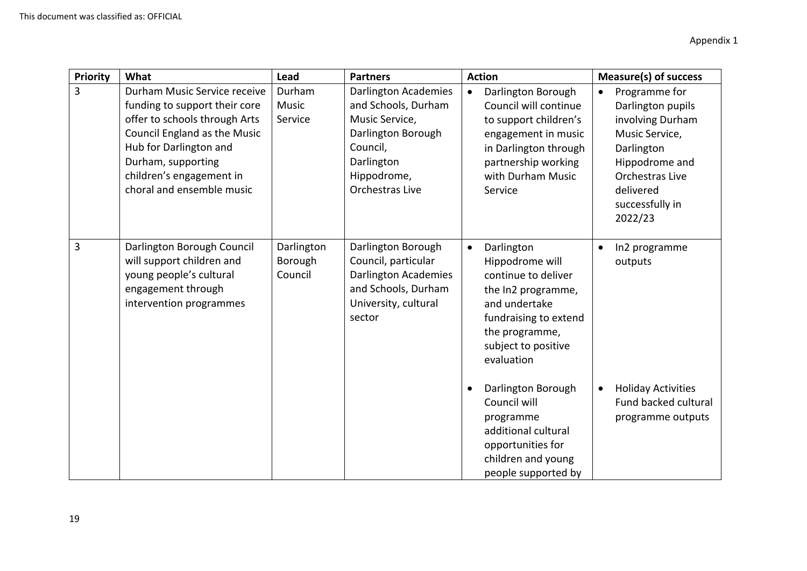| <b>Priority</b> | What                                                                                                                                                                                                                                    | <b>Lead</b>                      | <b>Partners</b>                                                                                                                                        | <b>Action</b>                                                                                                                                                                                                                  | Measure(s) of success                                                                                                                                                               |
|-----------------|-----------------------------------------------------------------------------------------------------------------------------------------------------------------------------------------------------------------------------------------|----------------------------------|--------------------------------------------------------------------------------------------------------------------------------------------------------|--------------------------------------------------------------------------------------------------------------------------------------------------------------------------------------------------------------------------------|-------------------------------------------------------------------------------------------------------------------------------------------------------------------------------------|
| 3               | Durham Music Service receive<br>funding to support their core<br>offer to schools through Arts<br>Council England as the Music<br>Hub for Darlington and<br>Durham, supporting<br>children's engagement in<br>choral and ensemble music | Durham<br>Music<br>Service       | <b>Darlington Academies</b><br>and Schools, Durham<br>Music Service,<br>Darlington Borough<br>Council,<br>Darlington<br>Hippodrome,<br>Orchestras Live | Darlington Borough<br>$\bullet$<br>Council will continue<br>to support children's<br>engagement in music<br>in Darlington through<br>partnership working<br>with Durham Music<br>Service                                       | Programme for<br>$\bullet$<br>Darlington pupils<br>involving Durham<br>Music Service,<br>Darlington<br>Hippodrome and<br>Orchestras Live<br>delivered<br>successfully in<br>2022/23 |
| 3               | Darlington Borough Council<br>will support children and<br>young people's cultural<br>engagement through<br>intervention programmes                                                                                                     | Darlington<br>Borough<br>Council | Darlington Borough<br>Council, particular<br><b>Darlington Academies</b><br>and Schools, Durham<br>University, cultural<br>sector                      | Darlington<br>$\bullet$<br>Hippodrome will<br>continue to deliver<br>the In2 programme,<br>and undertake<br>fundraising to extend<br>the programme,<br>subject to positive<br>evaluation<br>Darlington Borough<br>Council will | In2 programme<br>$\bullet$<br>outputs<br><b>Holiday Activities</b><br>$\bullet$<br>Fund backed cultural                                                                             |
|                 |                                                                                                                                                                                                                                         |                                  |                                                                                                                                                        | programme<br>additional cultural<br>opportunities for<br>children and young<br>people supported by                                                                                                                             | programme outputs                                                                                                                                                                   |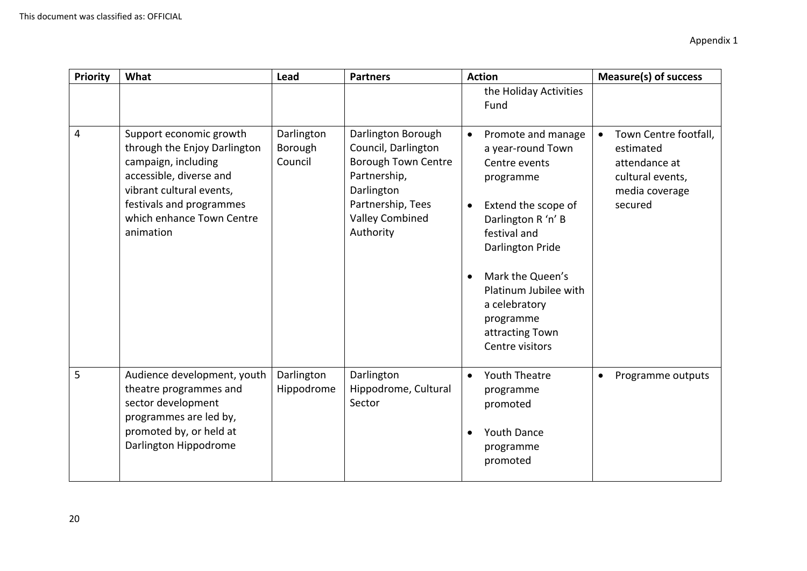| Priority | What                                                                                                                                                                                                        | Lead                             | <b>Partners</b>                                                                                                                                                   | <b>Action</b>                                                                                                                                                                                                                                                                                                  | <b>Measure(s) of success</b>                                                                         |
|----------|-------------------------------------------------------------------------------------------------------------------------------------------------------------------------------------------------------------|----------------------------------|-------------------------------------------------------------------------------------------------------------------------------------------------------------------|----------------------------------------------------------------------------------------------------------------------------------------------------------------------------------------------------------------------------------------------------------------------------------------------------------------|------------------------------------------------------------------------------------------------------|
|          |                                                                                                                                                                                                             |                                  |                                                                                                                                                                   | the Holiday Activities<br>Fund                                                                                                                                                                                                                                                                                 |                                                                                                      |
| 4        | Support economic growth<br>through the Enjoy Darlington<br>campaign, including<br>accessible, diverse and<br>vibrant cultural events,<br>festivals and programmes<br>which enhance Town Centre<br>animation | Darlington<br>Borough<br>Council | Darlington Borough<br>Council, Darlington<br><b>Borough Town Centre</b><br>Partnership,<br>Darlington<br>Partnership, Tees<br><b>Valley Combined</b><br>Authority | Promote and manage<br>$\bullet$<br>a year-round Town<br>Centre events<br>programme<br>Extend the scope of<br>$\bullet$<br>Darlington R 'n' B<br>festival and<br>Darlington Pride<br>Mark the Queen's<br>$\bullet$<br>Platinum Jubilee with<br>a celebratory<br>programme<br>attracting Town<br>Centre visitors | Town Centre footfall,<br>estimated<br>attendance at<br>cultural events,<br>media coverage<br>secured |
| 5        | Audience development, youth<br>theatre programmes and<br>sector development<br>programmes are led by,<br>promoted by, or held at<br>Darlington Hippodrome                                                   | Darlington<br>Hippodrome         | Darlington<br>Hippodrome, Cultural<br>Sector                                                                                                                      | <b>Youth Theatre</b><br>$\bullet$<br>programme<br>promoted<br><b>Youth Dance</b><br>$\bullet$<br>programme<br>promoted                                                                                                                                                                                         | Programme outputs<br>$\bullet$                                                                       |